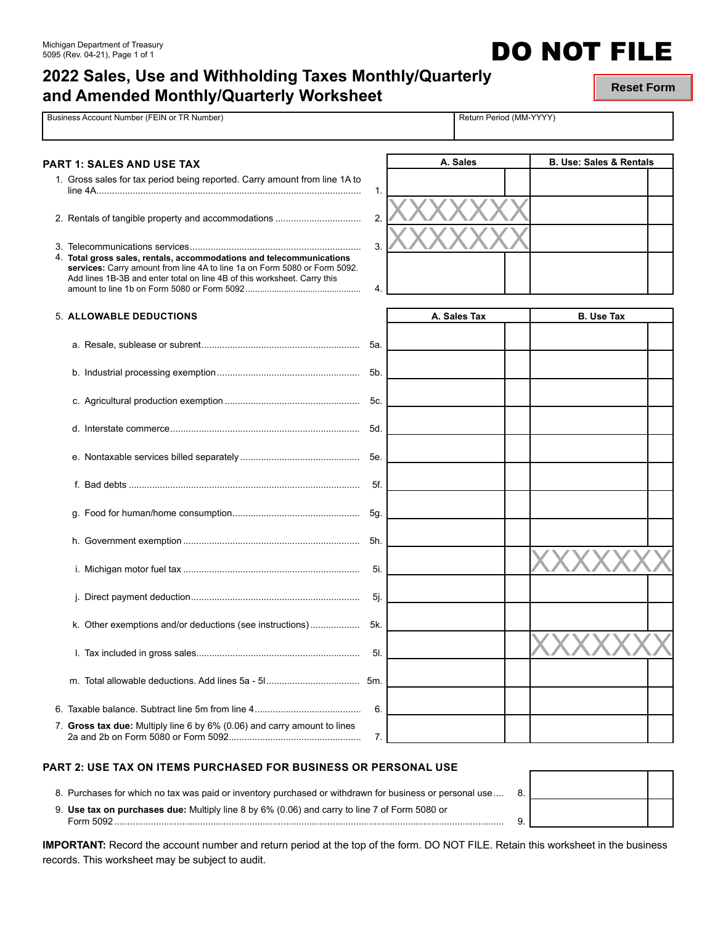# **2022 Sales, Use and Withholding Taxes Monthly/Quarterly and Amended Monthly/Quarterly Worksheet**

**Reset Form**

**DO NOT FILE** 

| Business Account Number (FEIN or TR Number)                                                                                                                                                                                   |          | Return Period (MM-YYYY) |                                    |  |
|-------------------------------------------------------------------------------------------------------------------------------------------------------------------------------------------------------------------------------|----------|-------------------------|------------------------------------|--|
| PART 1: SALES AND USE TAX                                                                                                                                                                                                     |          | A. Sales                | <b>B. Use: Sales &amp; Rentals</b> |  |
| 1. Gross sales for tax period being reported. Carry amount from line 1A to                                                                                                                                                    | 1.       |                         |                                    |  |
|                                                                                                                                                                                                                               | 2.       |                         |                                    |  |
| 4. Total gross sales, rentals, accommodations and telecommunications<br>services: Carry amount from line 4A to line 1a on Form 5080 or Form 5092.<br>Add lines 1B-3B and enter total on line 4B of this worksheet. Carry this | 3.<br>4. |                         |                                    |  |
| 5. ALLOWABLE DEDUCTIONS                                                                                                                                                                                                       |          | A. Sales Tax            | <b>B.</b> Use Tax                  |  |
|                                                                                                                                                                                                                               |          |                         |                                    |  |
|                                                                                                                                                                                                                               |          |                         |                                    |  |
|                                                                                                                                                                                                                               |          |                         |                                    |  |
|                                                                                                                                                                                                                               | 5d.      |                         |                                    |  |
|                                                                                                                                                                                                                               |          |                         |                                    |  |
|                                                                                                                                                                                                                               | 5f.      |                         |                                    |  |
|                                                                                                                                                                                                                               |          |                         |                                    |  |
|                                                                                                                                                                                                                               | 5h.      |                         |                                    |  |
|                                                                                                                                                                                                                               | 5i.      |                         |                                    |  |
|                                                                                                                                                                                                                               | 5j.      |                         |                                    |  |
| Other exemptions and/or deductions (see instructions)<br>k.                                                                                                                                                                   | 5k       |                         |                                    |  |
|                                                                                                                                                                                                                               | 5I.      |                         |                                    |  |
|                                                                                                                                                                                                                               | 5m.      |                         |                                    |  |
|                                                                                                                                                                                                                               | 6.       |                         |                                    |  |
| 7. Gross tax due: Multiply line 6 by 6% (0.06) and carry amount to lines                                                                                                                                                      | 7.       |                         |                                    |  |

### **PART 2: USE TAX ON ITEMS PURCHASED FOR BUSINESS OR PERSONAL USE**

2a and 2b on Form 5080 or Form 5092................................................... 7.

8. Purchases for which no tax was paid or inventory purchased or withdrawn for business or personal use.... 8.

9. **Use tax on purchases due:** Multiply line 8 by 6% (0.06) and carry to line 7 of Form 5080 or Form 5092 ...................................................................................................................................................... 9.

| .כ |  |
|----|--|
| 1. |  |

**IMPORTANT:** Record the account number and return period at the top of the form. DO NOT FILE. Retain this worksheet in the business records. This worksheet may be subject to audit.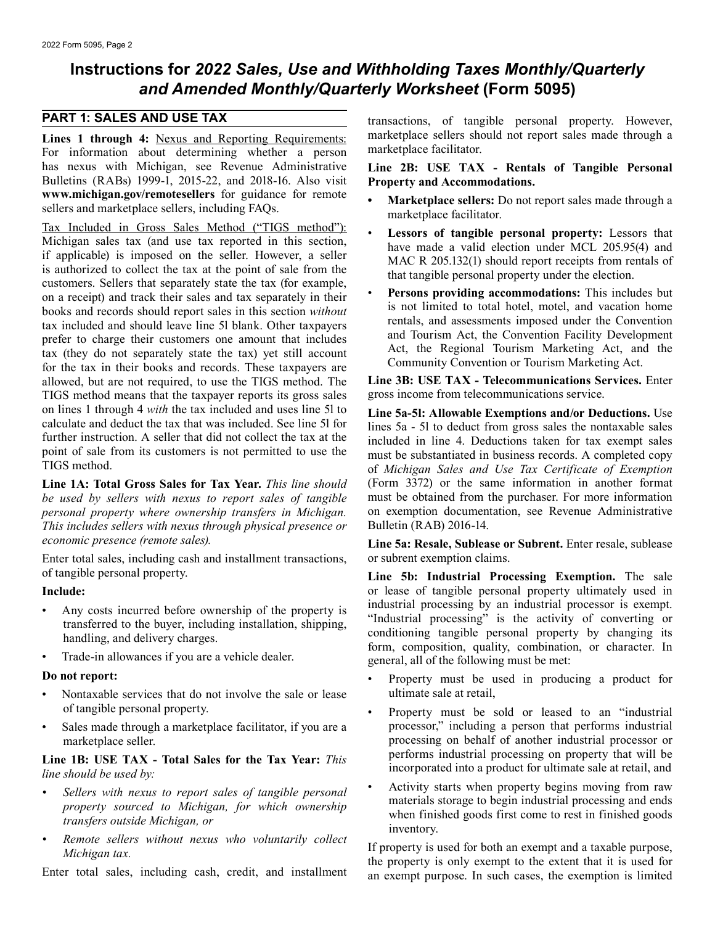## **Instructions for** *2022 Sales, Use and Withholding Taxes Monthly/Quarterly and Amended Monthly/Quarterly Worksheet* **(Form 5095)**

For information about determining whether a person has nexus with Michigan, see Revenue Administrative **Line 2B: USE TAX - Rentals of Tangible Personal**  Bulletins (RABs) 19[99-1, 2015-22, and 2018-16. Also v](www.michigan.gov/remotesellers)isit **Property and Accommodations.**<br> **www.michigan.gov/remotesellers** for guidance for remote

Tax Included in Gross Sales Method ("TIGS method"):<br>
Michigan sales tax (and use tax reported in this section,<br>
if applicable) is imposed on the seller. However, a seller<br>
is authorized to collect the tax at the point of s customers. Sellers that separately state the tax (for example,<br>on a receipt) and track their sales and tax separately in their<br>books and records should report sales in this section *without*<br>tax included and should leave l tax included and should leave line 51 blank. Other taxpayers<br>prefer to charge their customers one amount that includes<br>tax (they do not separately state the tax) yet still account<br>for the tax in their books and records. Th allowed, but are not required, to use the TIGS method. The **Line 3B: USE TAX - Telecommunications Se**<br>TIGS method means that the taxpaver reports its gross sales gross income from telecommunications service. TIGS method means that the taxpayer reports its gross sales on lines 1 through 4 *with* the tax included and uses line 5l to **Line 5a-5l: Allowable Exemptions and/or Deductions.** Use calculate and deduct the tax that was included. See line 5l for lines 5a - 5l to deduct from gross

*be used by sellers with nexus to report sales of tangible* must be obtained from the purchaser. For more information *personal property where ownership transfers in Michigan.* on exemption document<br>*This includes sellers with nexus through physical presence or* Bulletin (RAB) 2016-14. *This includes sellers with nexus through physical presence or economic presence (remote sales).* **Line 5a: Resale, Sublease or Subrent.** Enter resale, sublease

Enter total sales, including cash and installment transactions, or subrent exemption claims. of tangible personal property. **Line 5b: Industrial Processing Exemption.** The sale

- 
- 

- Nontaxable services that do not involve the sale or lease
- Sales made through a marketplace facilitator, if you are a

**Line 1B: USE TAX - Total Sales for the Tax Year:** *This incorporated into a product for ultimate sale at retail, and incorporated into a product for ultimate sale at retail, and <i>incorporated into a product for ultimate* 

- 
- 

**PART 1: SALES AND USE TAX** transactions, of tangible personal property. However, **Lines 1 through 4:** Nexus and Reporting Requirements: marketplace sellers should not report sales made through a<br>For information about determining whether a person marketplace facilitator.

- **For an archive Sellers for guidance for remote Marketplace sellers:** Do not report sales made through a marketplace facilitator.<br> **For a sellers** and marketplace sellers, including FAQs.<br> **For a seller sellers** and
	- $\ddot{\phantom{0}}$
	- $\ddot{\phantom{0}}$

Further instruction. A seller that did not collect the tax at the<br>point of sale from its customers is not permitted to use the<br>TIGS method.<br>TIGS method.<br>TIGS method. **Line 1A: Total Gross Sales for Tax Year.** *This line should* (Form 3372) or the same information in another format be used by sellers with nexus to report sales of tangible must be obtained from the purchaser. For more in

**Include:** or lease of tangible personal property ultimately used in<br> **Any sets incurred before expansion of the granacty is** industrial processing by an industrial processor is exempt. Any costs incurred before ownership of the property is<br>transferred to the buyer, including installation, shipping,<br>handling, and delivery charges.<br>form, composition, quality, combination, or character. In Trade-in allowances if you are a vehicle dealer. general, all of the following must be met:

- **Do not report:**<br>
 Property must be used in producing a product for<br>
 Nontaxable services that do not involve the sale or lease ultimate sale at retail.
	- of tangible personal property.<br>
	Sales made through a marketplace facilitator, if you are a **Frankly** processor," including a person that performs industrial marketplace seller.<br> **processing on behalf of another industrial processor or**<br> **performs industrial processing on property that will be**<br> **performs industrial processing on property that will be**
	- Sellers with nexus to report sales of tangible personal<br>property sourced to Michigan, for which ownership<br>transfers outside Michigan, or<br>Remote sellers without nexus who voluntarily collect<br>Remote sellers without nexus who

Michigan tax.<br>
Michigan tax.<br>
Enter total sales, including cash, credit, and installment<br>
Enter total sales, including cash, credit, and installment<br>
Enter total sales, including cash, credit, and installment<br>
Enter total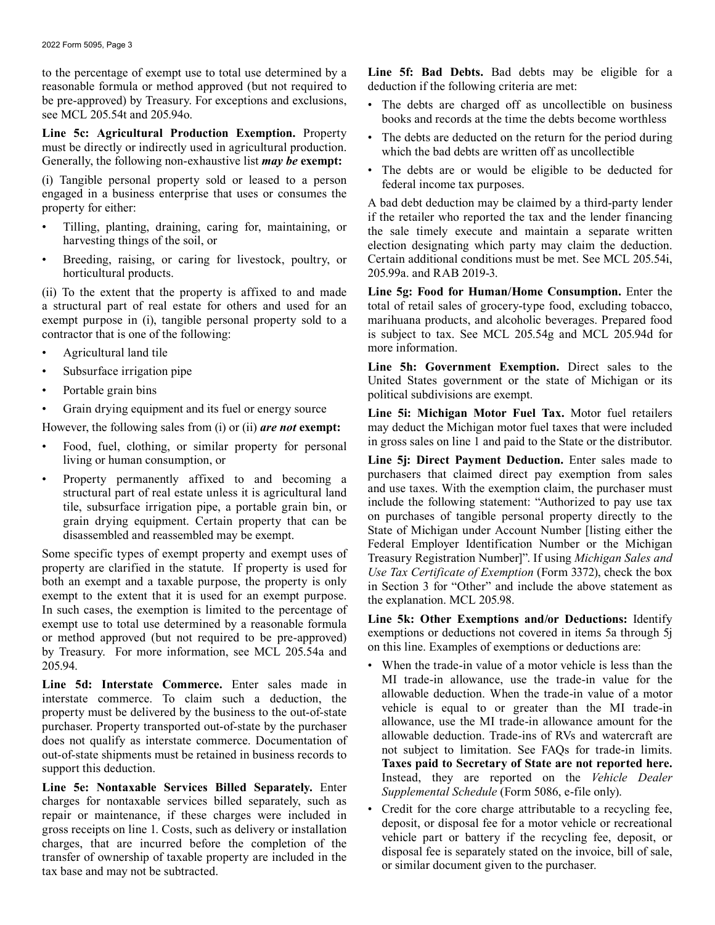to the percentage of exempt use to total use determined by a **Line 5f: Bad Debts.** Bad debts may be eligible for a reasonable formula or method approved (but not required to be pre-approved) by Treasury. For exceptions and exclusions, <br>see MCL 205.54t and 205.94o.<br>books and records at the time the debts become worthless

Line 5c: Agricultural Production Exemption. Property <br>must be directly or indirectly used in agricultural production.<br>which the bad debts are written off as uncollectible Generally, the following non-exhaustive list *may be* **exempt:** 

(i) Tangible personal property sold or leased to a person<br>
engaged in a business enterprise that uses or consumes the<br>
property for either:<br>
Tilling, planting, draining, caring for, maintaining, or<br>
Tilling, planting, drai

- 
- Breeding, raising, or caring for livestock, poultry, or horticultural products. 205.99a. and RAB 2019-3.

(ii) To the extent that the property is affixed to and made **Line 5g: Food for Human/Home Consumption.** Enter the a structural part of real estate for others and used for an total of retail sales of grocery-type food, excluding tobacco, exempt purpose in (i), tangible personal property sold to a marihuana products, and alcoholic bever exempt purpose in (i), tangible personal property sold to a marihuana products, and alcoholic beverages. Prepared food contractor that is one of the following:<br>is subject to tax. See MCL 205.54g and MCL 205.94d for

- Agricultural land tile **and the set of the set of the set of the set of the set of the set of the set of the set of the set of the set of the set of the set of the set of the set of the set of the set of the set of the set**
- 
- 
- 

- 
- 

exempt to the extent that it is used for an exempt purpose.<br>
In such cases, the exemption is limited to the percentage of<br>
exempt use to total use determined by a reasonable formula<br>
or method approved (but not required to 205.94. • When the trade-in value of a motor vehicle is less than the

**Line 5e: Nontaxable Services Billed Separately.** Enter<br>
charges for nontaxable services billed separately, such as<br>
repair or maintenance, if these charges were included in<br>
gross receipts on line 1. Costs, such as delive

- 
- 
- 

Filling, planting, draining, caring for, maintaining, or the sale timely execute and maintain a separate written election designating which party may claim the deduction.<br>Breeding, raising, or caring for livestock, poultry

is subject to tax. See MCL 205.54g and MCL 205.94d for

**Line 5h: Government Exemption.** Direct sales to the United States government or the state of Michigan or its Portable grain bins political subdivisions are exempt.

• Grain drying equipment and its fuel or energy source **Line 5i: Michigan Motor Fuel Tax.** Motor fuel retailers However, the following sales from (i) or (ii) *are not* **exempt:** may deduct the Michigan motor fuel taxes that were included Food, fuel, clothing, or similar property for personal in gross sales on line 1 and paid to the State or the distributor.

living or human consumption, or **Line 5j: Direct Payment Deduction.** Enter sales made to • Property permanently affixed to and becoming a<br>
structural part of real estate unless it is agricultural land<br>
tile, subsurface irrigation pipe, a portable grain bin, or<br>
grain drying equipment. Certain property that can

- Line 5d: Interstate Commerce. Enter sales made in MI trade-in allowance, use the trade-in value for the interstate commerce. To claim such a deduction the allowable deduction. When the trade-in value of a motor interstate commerce. To claim such a deduction, the<br>property must be delivered by the business to the out-of-state<br>purchaser. Property transported out-of-state by the purchaser<br>does not qualify as interstate commerce. Docu
	-